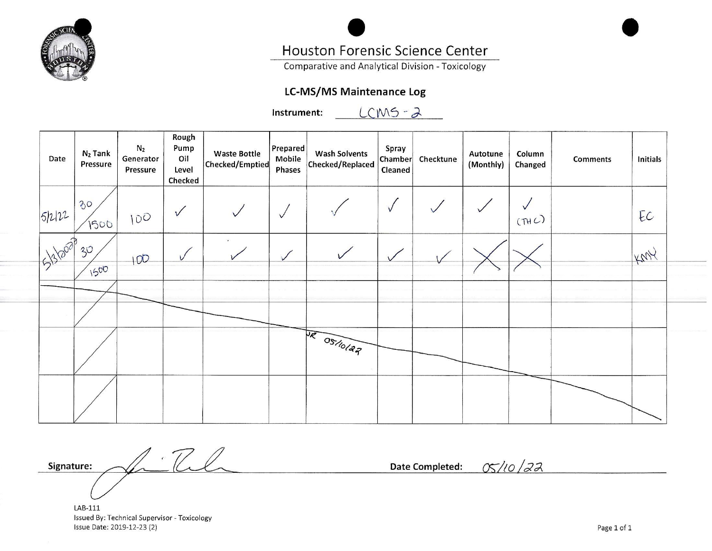

# **Houston Forensic Science Center**

Comparative and Analytical Division - Toxicology

# **LC-MS/MS Maintenance Log**

 $LCMS - 2$ Instrument:

| Date    | $N_2$ Tank<br><b>Pressure</b> | N <sub>2</sub><br>Generator<br><b>Pressure</b> | Rough<br>Pump<br>Oil<br>Level<br>Checked | <b>Waste Bottle</b><br>Checked/Emptied | Prepared<br>Mobile<br>Phases | <b>Wash Solvents</b><br>Checked/Replaced | Spray<br>Chamber<br>Cleaned | Checktune | Autotune<br>(Monthly) | Column<br>Changed | <b>Comments</b> | Initials |
|---------|-------------------------------|------------------------------------------------|------------------------------------------|----------------------------------------|------------------------------|------------------------------------------|-----------------------------|-----------|-----------------------|-------------------|-----------------|----------|
| 51212   | 30<br>1500                    | 100                                            | $\sqrt{}$                                |                                        | $\vee$                       |                                          | $\sqrt{}$                   |           |                       | (THC)             |                 | EC       |
| 5330000 | 30,<br>1500                   | 100                                            | $\sqrt{ }$                               |                                        | $\sqrt{}$                    |                                          |                             |           |                       |                   |                 | KMY      |
|         |                               |                                                |                                          |                                        |                              |                                          |                             |           |                       |                   |                 |          |
|         |                               |                                                |                                          |                                        |                              | DR OS/10/22                              |                             |           |                       |                   |                 |          |
|         |                               |                                                |                                          |                                        |                              |                                          |                             |           |                       |                   |                 |          |

 $1 \cdot T$ Signature:

05/10/22 **Date Completed:** 

LAB-111 Issued By: Technical Supervisor - Toxicology Issue Date: 2019-12-23 (2)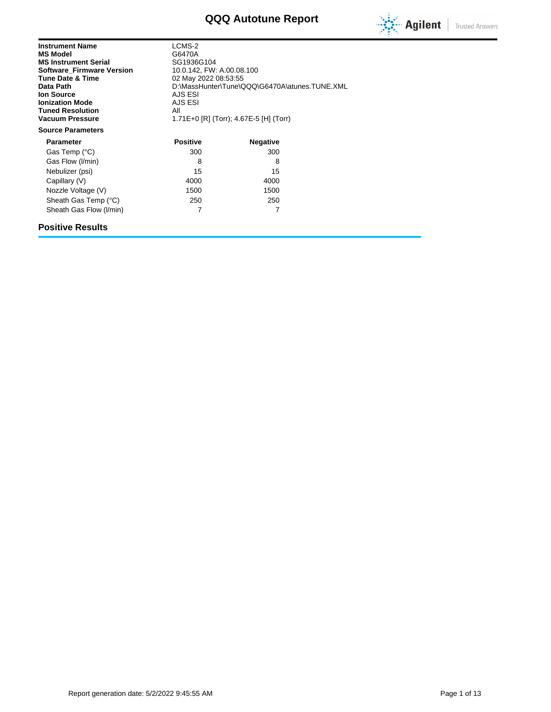# **QQQ Autotune Report**



| <b>Instrument Name</b><br><b>MS Model</b><br><b>MS Instrument Serial</b><br><b>Software Firmware Version</b><br><b>Tune Date &amp; Time</b><br>Data Path<br>lon Source<br><b>Ionization Mode</b><br><b>Tuned Resolution</b><br><b>Vacuum Pressure</b> | LCMS-2<br>G6470A<br>SG1936G104<br>10.0.142, FW: A.00.08.100<br>02 May 2022 08:53:55<br>D:\MassHunter\Tune\QQQ\G6470A\atunes.TUNE.XML<br>AJS ESI<br>AJS ESI<br>All<br>1.71E+0 [R] (Torr); 4.67E-5 [H] (Torr) |                 |  |  |
|-------------------------------------------------------------------------------------------------------------------------------------------------------------------------------------------------------------------------------------------------------|-------------------------------------------------------------------------------------------------------------------------------------------------------------------------------------------------------------|-----------------|--|--|
| <b>Source Parameters</b>                                                                                                                                                                                                                              |                                                                                                                                                                                                             |                 |  |  |
| <b>Parameter</b>                                                                                                                                                                                                                                      | <b>Positive</b>                                                                                                                                                                                             | <b>Negative</b> |  |  |
| Gas Temp (°C)                                                                                                                                                                                                                                         | 300                                                                                                                                                                                                         | 300             |  |  |
| Gas Flow (I/min)                                                                                                                                                                                                                                      | 8                                                                                                                                                                                                           | 8               |  |  |
| Nebulizer (psi)                                                                                                                                                                                                                                       | 15                                                                                                                                                                                                          | 15              |  |  |
| Capillary (V)                                                                                                                                                                                                                                         | 4000                                                                                                                                                                                                        | 4000            |  |  |
| Nozzle Voltage (V)                                                                                                                                                                                                                                    | 1500                                                                                                                                                                                                        | 1500            |  |  |
| Sheath Gas Temp (°C)                                                                                                                                                                                                                                  | 250                                                                                                                                                                                                         | 250             |  |  |
| Sheath Gas Flow (I/min)                                                                                                                                                                                                                               |                                                                                                                                                                                                             |                 |  |  |

### **Positive Results**

Report generation date: 5/2/2022 9:45:55 AM Page 1 of 13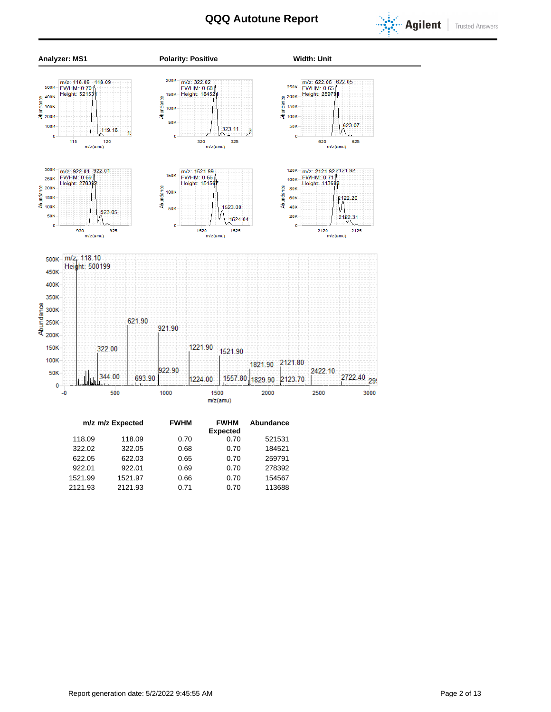



322.02 322.05 0.68 0.70 184521 622.05 622.03 0.65 0.70 259791 922.01 922.01 0.69 0.70 278392 1521.99 1521.97 0.66 0.70 154567 2121.93 2121.93 0.71 0.70 113688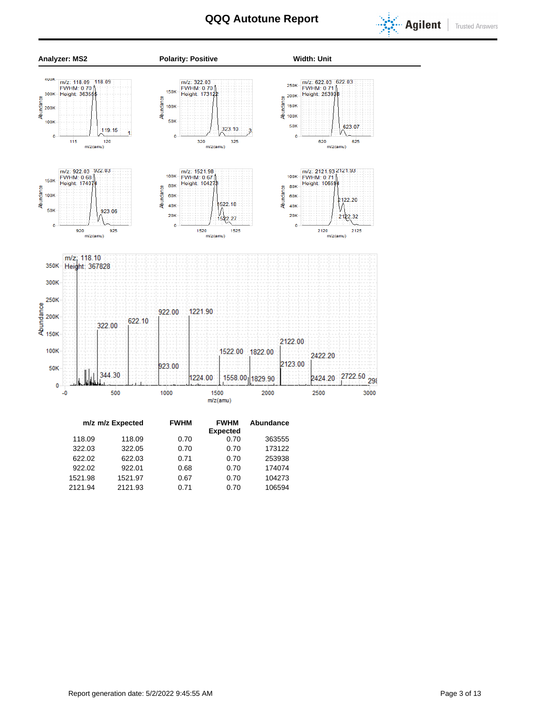



|         | m/z m/z Expected | <b>FWHM</b> | <b>FWHM</b><br><b>Expected</b> | Abundance |  |
|---------|------------------|-------------|--------------------------------|-----------|--|
| 118.09  | 118.09           | 0.70        | 0.70                           | 363555    |  |
| 322.03  | 322.05           | 0.70        | 0.70                           | 173122    |  |
| 622.02  | 622.03           | 0.71        | 0.70                           | 253938    |  |
| 922.02  | 922.01           | 0.68        | 0.70                           | 174074    |  |
| 1521.98 | 1521.97          | 0.67        | 0.70                           | 104273    |  |
| 2121.94 | 2121.93          | 0.71        | 0.70                           | 106594    |  |
|         |                  |             |                                |           |  |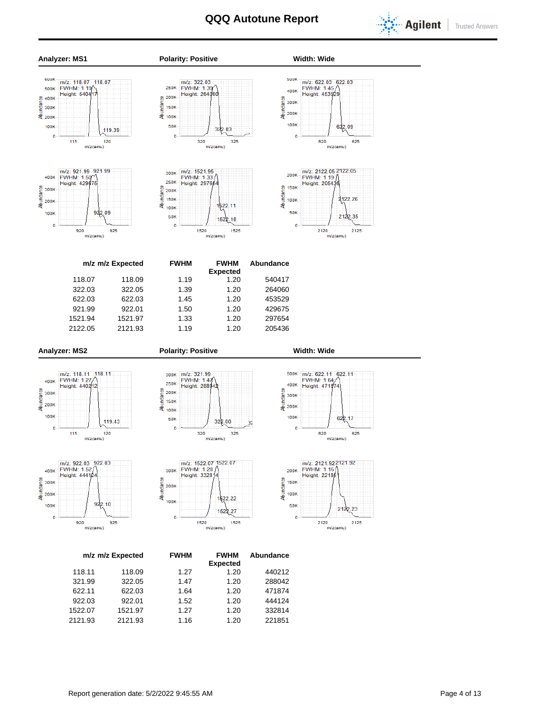



922.03 922.01 1.52 1.20 444124 1522.07 1521.97 1.27 1.20 332814 2121.93 2121.93 1.16 1.20 221851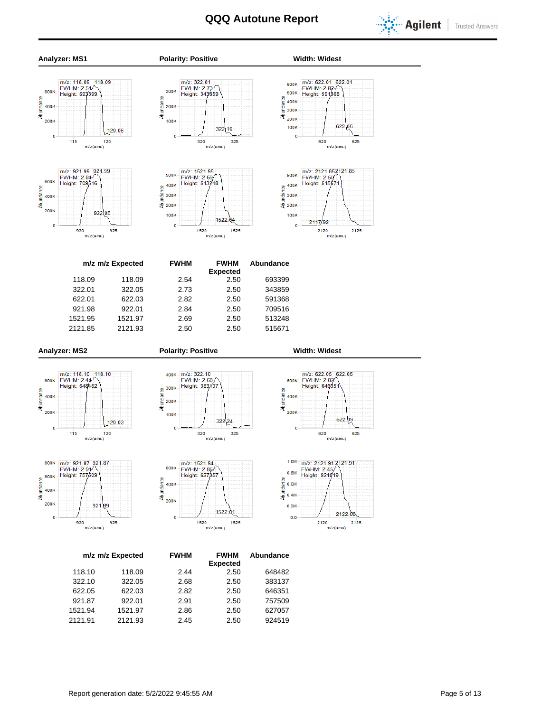



1521.94 1521.97 2.86 2.50 627057 2121.91 2121.93 2.45 2.50 924519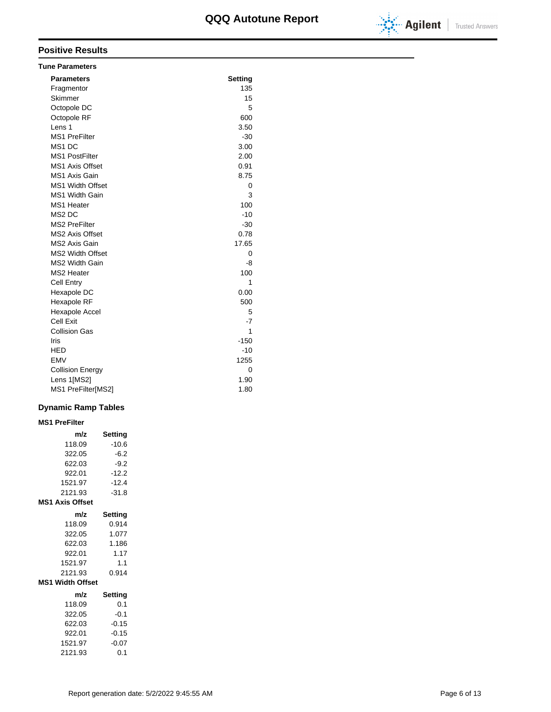

| <b>Tune Parameters</b>  |         |
|-------------------------|---------|
| <b>Parameters</b>       | Setting |
| Fragmentor              | 135     |
| Skimmer                 | 15      |
| Octopole DC             | 5       |
| Octopole RF             | 600     |
| Lens <sub>1</sub>       | 3.50    |
| <b>MS1 PreFilter</b>    | $-30$   |
| MS1 DC                  | 3.00    |
| <b>MS1 PostFilter</b>   | 2.00    |
| <b>MS1 Axis Offset</b>  | 0.91    |
| MS1 Axis Gain           | 8.75    |
| <b>MS1 Width Offset</b> | 0       |
| <b>MS1 Width Gain</b>   | 3       |
| MS1 Heater              | 100     |
| MS <sub>2</sub> DC      | $-10$   |
| <b>MS2 PreFilter</b>    | $-30$   |
| <b>MS2 Axis Offset</b>  | 0.78    |
| MS2 Axis Gain           | 17.65   |
| <b>MS2 Width Offset</b> | 0       |
| MS2 Width Gain          | -8      |
| MS2 Heater              | 100     |
| <b>Cell Entry</b>       | 1       |
| Hexapole DC             | 0.00    |
| Hexapole RF             | 500     |
| Hexapole Accel          | 5       |
| Cell Exit               | $-7$    |
| <b>Collision Gas</b>    | 1       |
| Iris                    | $-150$  |
| <b>HED</b>              | $-10$   |
| <b>EMV</b>              | 1255    |
| <b>Collision Energy</b> | 0       |
| Lens 1[MS2]             | 1.90    |
| MS1 PreFilter[MS2]      | 1.80    |

### **Dynamic Ramp Tables**

### **MS1 PreFilter**

| m/z                     | Setting |
|-------------------------|---------|
| 118.09                  | $-10.6$ |
| 322.05                  | $-6.2$  |
| 622.03                  | $-9.2$  |
| 922.01                  | $-12.2$ |
| 1521.97                 | $-12.4$ |
| 2121.93                 | $-31.8$ |
| <b>MS1 Axis Offset</b>  |         |
| m/z                     | Setting |
| 118.09                  | 0.914   |
| 322.05                  | 1.077   |
| 622.03                  | 1.186   |
| 922.01                  | 1.17    |
| 1521.97                 | 1.1     |
| 2121.93                 | 0.914   |
| <b>MS1 Width Offset</b> |         |
| m/z                     | Setting |
| 118.09                  | 0.1     |
| 322.05                  | $-0.1$  |
| 622.03                  | $-0.15$ |
| 922.01                  | $-0.15$ |
| 1521.97                 | $-0.07$ |
| 2121.93                 | 0.1     |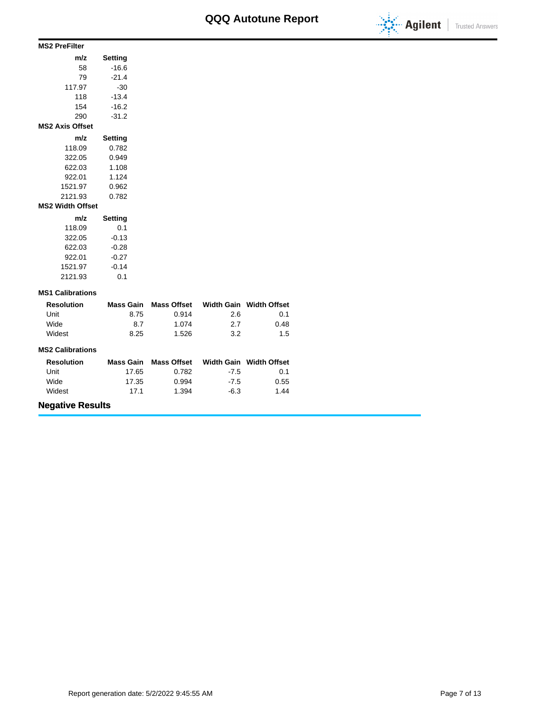

### **m/z Setting** 58 -16.6 79 -21.4 117.97 -30 118 -13.4 154 -16.2 **MS2 PreFilter**

290 -31.2 **m/z Setting** 118.09 0.782 322.05 0.949 622.03 1.108 922.01 1.124 1521.97 0.962 2121.93 0.782 **MS2 Axis Offset m/z Setting** 118.09 0.1 **MS2 Width Offset**

| 118.09  | U.T     |
|---------|---------|
| 322.05  | $-0.13$ |
| 622.03  | $-0.28$ |
| 922.01  | $-0.27$ |
| 1521.97 | $-0.14$ |
| 2121.93 | 0.1     |

### **MS1 Calibrations**

| <b>Resolution</b> | Mass Gain | Mass Offset |     | Width Gain Width Offset |
|-------------------|-----------|-------------|-----|-------------------------|
| Unit              | 8.75      | 0.914       | 2.6 | 0.1                     |
| Wide              | 8.7       | 1.074       | 27  | 0.48                    |
| Widest            | 8.25      | 1.526       | 3.2 | 1.5                     |

### **MS2 Calibrations**

| <b>Resolution</b> | Mass Gain | Mass Offset |        | Width Gain Width Offset |
|-------------------|-----------|-------------|--------|-------------------------|
| Unit              | 17.65     | 0.782       | $-7.5$ | 0.1                     |
| Wide              | 17.35     | 0.994       | $-7.5$ | 0.55                    |
| Widest            | 17.1      | 1.394       | -6.3   | 1.44                    |

# **Negative Results**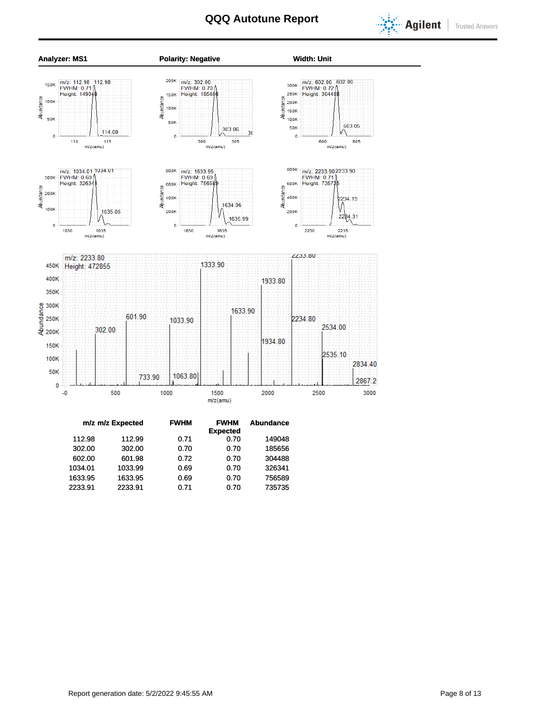





|         | m/z m/z Expected | <b>FWHM</b> | <b>FWHM</b>     | <b>Abundance</b> |
|---------|------------------|-------------|-----------------|------------------|
|         |                  |             | <b>Expected</b> |                  |
| 112.98  | 112.99           | 0.71        | 0.70            | 149048           |
| 302.00  | 302.00           | 0.70        | 0.70            | 185656           |
| 602.00  | 601.98           | 0.72        | 0.70            | 304488           |
| 1034.01 | 1033.99          | 0.69        | 0.70            | 326341           |
| 1633.95 | 1633.95          | 0.69        | 0.70            | 756589           |
| 2233.91 | 2233.91          | 0.71        | 0.70            | 735735           |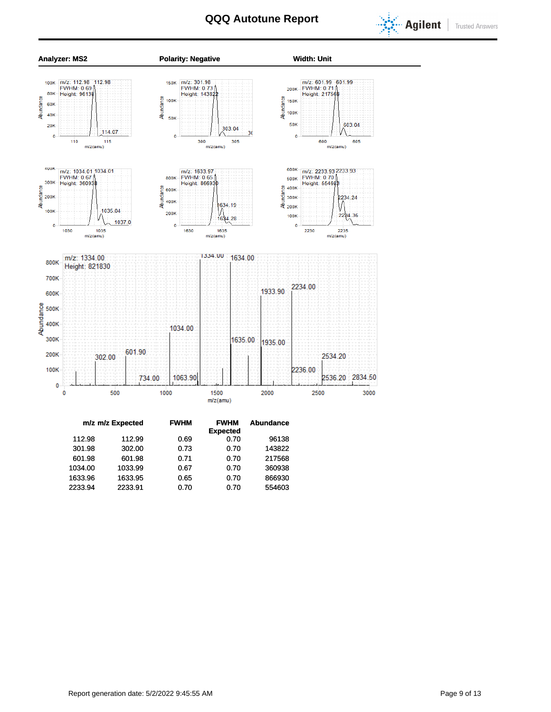





|         | m/z m/z Expected | <b>FWHM</b> | <b>FWHM</b>     | <b>Abundance</b> |
|---------|------------------|-------------|-----------------|------------------|
|         |                  |             | <b>Expected</b> |                  |
| 112.98  | 112.99           | 0.69        | 0.70            | 96138            |
| 301.98  | 302.00           | 0.73        | 0.70            | 143822           |
| 601.98  | 601.98           | 0.71        | 0.70            | 217568           |
| 1034.00 | 1033.99          | 0.67        | 0.70            | 360938           |
| 1633.96 | 1633.95          | 0.65        | 0.70            | 866930           |
| 2233.94 | 2233.91          | 0.70        | 0.70            | 554603           |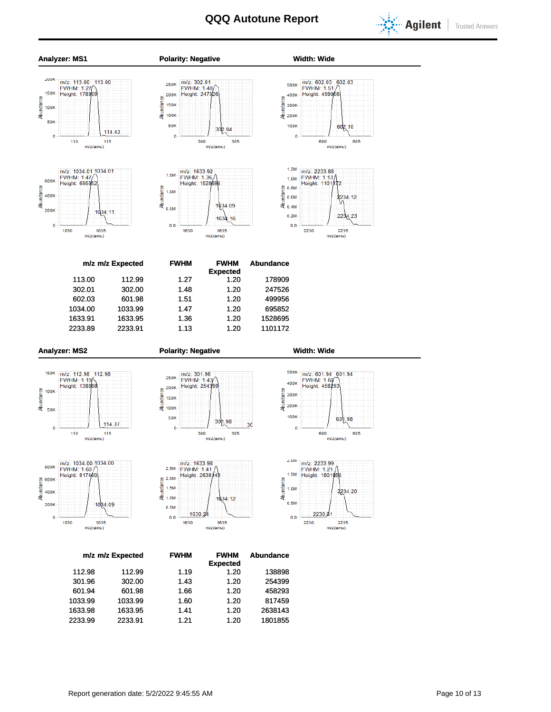



2233.99 2233.91 1.21 1.20 1801855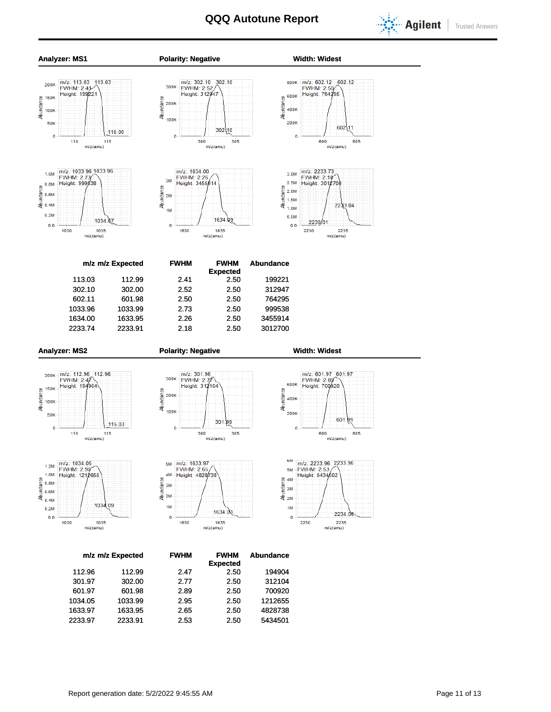



| eight: 31294                 |  |
|------------------------------|--|
| ۱                            |  |
| т<br>٠                       |  |
|                              |  |
| ï<br>ï<br>302<br>10<br>ī     |  |
| 300<br>305<br>m/z(amu)       |  |
|                              |  |
| : 1634.00                    |  |
| HM: 2.26<br>ght: 34559<br>14 |  |





800K - m/z: 602.12 - 602.12<br>FWHM: 2.50<br>600K - Height: 764295

2235  $m/z(amu)$ 

| m/z m/z Expected |         |  |         | <b>FWHM</b> |      |  | <b>FWHM</b><br><b>Expected</b> |      | <b>Abundance</b> |  |
|------------------|---------|--|---------|-------------|------|--|--------------------------------|------|------------------|--|
|                  | 113.03  |  | 112.99  |             | 2.41 |  |                                | 2.50 | 199221           |  |
|                  | 302.10  |  | 302.00  |             | 2.52 |  |                                | 2.50 | 312947           |  |
|                  | 602.11  |  | 601.98  |             | 2.50 |  |                                | 2.50 | 764295           |  |
|                  | 1033.96 |  | 1033.99 |             | 2.73 |  |                                | 2.50 | 999538           |  |
|                  | 1634.00 |  | 1633.95 |             | 2.26 |  |                                | 2.50 | 3455914          |  |
|                  | 2233.74 |  | 2233.91 |             | 2.18 |  |                                | 2.50 | 3012700          |  |
|                  |         |  |         |             |      |  |                                |      |                  |  |

















|         | m/z m/z Expected | <b>FWHM</b> | <b>FWHM</b><br><b>Expected</b> | <b>Abundance</b> |
|---------|------------------|-------------|--------------------------------|------------------|
| 112.96  | 112.99           | 2.47        | 2.50                           | 194904           |
| 301.97  | 302.00           | 2.77        | 2.50                           | 312104           |
| 601.97  | 601.98           | 2.89        | 2.50                           | 700920           |
| 1034.05 | 1033.99          | 2.95        | 2.50                           | 1212655          |
| 1633.97 | 1633.95          | 2.65        | 2.50                           | 4828738          |
| 2233.97 | 2233.91          | 2.53        | 2.50                           | 5434501          |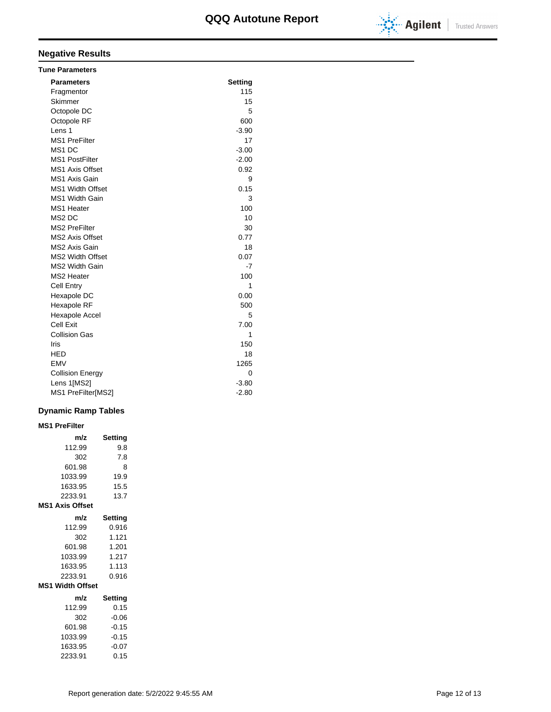

# **Negative Results**

| <b>Tune Parameters</b>  |         |
|-------------------------|---------|
| <b>Parameters</b>       | Setting |
| Fragmentor              | 115     |
| Skimmer                 | 15      |
| Octopole DC             | 5       |
| Octopole RF             | 600     |
| Lens 1                  | $-3.90$ |
| <b>MS1 PreFilter</b>    | 17      |
| MS <sub>1</sub> DC      | $-3.00$ |
| <b>MS1 PostFilter</b>   | $-2.00$ |
| <b>MS1 Axis Offset</b>  | 0.92    |
| <b>MS1 Axis Gain</b>    | 9       |
| <b>MS1 Width Offset</b> | 0.15    |
| <b>MS1 Width Gain</b>   | 3       |
| MS1 Heater              | 100     |
| MS <sub>2</sub> DC      | 10      |
| <b>MS2 PreFilter</b>    | 30      |
| <b>MS2 Axis Offset</b>  | 0.77    |
| MS2 Axis Gain           | 18      |
| <b>MS2 Width Offset</b> | 0.07    |
| <b>MS2 Width Gain</b>   | -7      |
| MS2 Heater              | 100     |
| <b>Cell Entry</b>       | 1       |
| Hexapole DC             | 0.00    |
| Hexapole RF             | 500     |
| Hexapole Accel          | 5       |
| Cell Exit               | 7.00    |
| <b>Collision Gas</b>    | 1       |
| Iris                    | 150     |
| HED                     | 18      |
| <b>EMV</b>              | 1265    |
| <b>Collision Energy</b> | 0       |
| Lens 1[MS2]             | $-3.80$ |
| MS1 PreFilter[MS2]      | $-2.80$ |

## **Dynamic Ramp Tables**

| <b>MS1 PreFilter</b>    |         |
|-------------------------|---------|
| m/z                     | Setting |
| 112.99                  | 9.8     |
| 302                     | 7.8     |
| 601.98                  | 8       |
| 1033.99                 | 19.9    |
| 1633.95                 | 15.5    |
| 2233.91                 | 13.7    |
| <b>MS1 Axis Offset</b>  |         |
| m/z                     | Setting |
| 112.99                  | 0.916   |
| 302                     | 1.121   |
| 601.98                  | 1.201   |
| 1033.99                 | 1.217   |
| 1633.95                 | 1.113   |
| 2233.91                 | 0.916   |
| <b>MS1 Width Offset</b> |         |
| m/z                     | Setting |
| 112.99                  | 0.15    |
| 302                     | $-0.06$ |
| 601.98                  | $-0.15$ |
| 1033.99                 | $-0.15$ |
| 1633.95                 | $-0.07$ |
| 2233.91                 | 0.15    |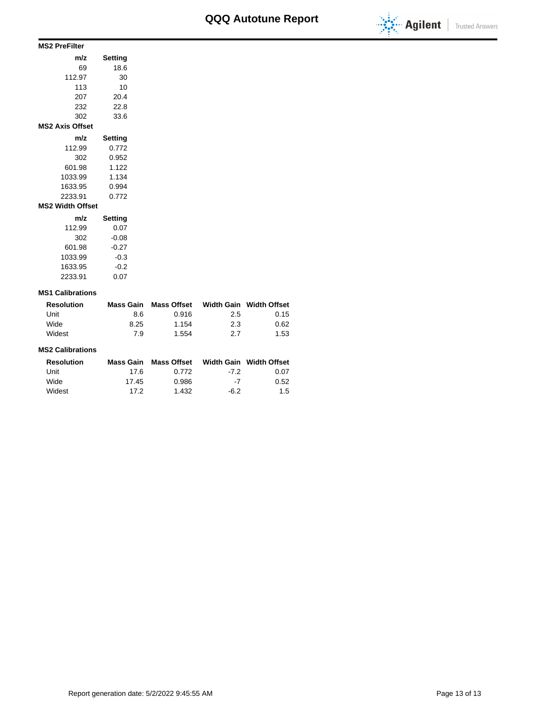

### **MS2 PreFilter**

| m/z                     | Setting |  |  |  |  |  |  |  |  |
|-------------------------|---------|--|--|--|--|--|--|--|--|
| 69                      | 18.6    |  |  |  |  |  |  |  |  |
| 112.97                  | 30      |  |  |  |  |  |  |  |  |
| 113                     | 10      |  |  |  |  |  |  |  |  |
| 207                     | 20.4    |  |  |  |  |  |  |  |  |
| 232                     | 22.8    |  |  |  |  |  |  |  |  |
| 302                     | 33.6    |  |  |  |  |  |  |  |  |
| <b>MS2 Axis Offset</b>  |         |  |  |  |  |  |  |  |  |
| m/z                     | Setting |  |  |  |  |  |  |  |  |
| 112.99                  | 0.772   |  |  |  |  |  |  |  |  |
| 302                     | 0.952   |  |  |  |  |  |  |  |  |
| 601.98                  | 1.122   |  |  |  |  |  |  |  |  |
| 1033.99                 | 1.134   |  |  |  |  |  |  |  |  |
| 1633.95                 | 0.994   |  |  |  |  |  |  |  |  |
| 2233.91                 | 0.772   |  |  |  |  |  |  |  |  |
| <b>MS2 Width Offset</b> |         |  |  |  |  |  |  |  |  |
| m/z                     | Setting |  |  |  |  |  |  |  |  |
| 112.99                  | 0.07    |  |  |  |  |  |  |  |  |
| 302                     | $-0.08$ |  |  |  |  |  |  |  |  |
| 601.98                  | $-0.27$ |  |  |  |  |  |  |  |  |
| 1033.99                 | -0.3    |  |  |  |  |  |  |  |  |
| 1633.95                 | $-0.2$  |  |  |  |  |  |  |  |  |

### **MS1 Calibrations**

2233.91 0.07

| <b>Resolution</b> | Mass Gain | Mass Offset |     | Width Gain Width Offset |
|-------------------|-----------|-------------|-----|-------------------------|
| Unit              | 8.6       | 0.916       | 2.5 | 0.15                    |
| Wide              | 8.25      | 1.154       | 2.3 | 0.62                    |
| Widest            | 7.9       | 1.554       | 27  | 1.53                    |

### **MS2 Calibrations**

| Resolution |       | Mass Gain Mass Offset |      | Width Gain Width Offset |
|------------|-------|-----------------------|------|-------------------------|
| Unit       | 17.6  | 0.772                 | -72  | 0.07                    |
| Wide       | 17.45 | 0.986                 | $-7$ | 0.52                    |
| Widest     | 17 2  | 1.432                 | -6.2 | 1.5                     |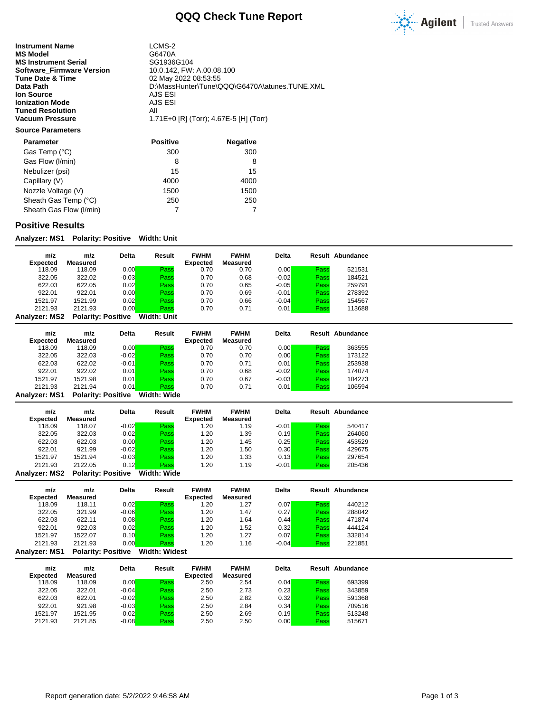

**Instrument Name** LCMS-2<br> **MS Model** G6470A **MS Model** G6470A<br> **MS Instrument Serial** GG1936G104 **MS Instrument Serial Serial SG1936G104**<br>**Software\_Firmware Version** 10.0.142, FW: A.00.08.100 **Software\_Firmware Version<br>Tune Date & Time Tune Date & Time** 02 May 2022 08:53:55<br> **Data Path** 02 MassHunter\Tune\C **Ion Source** AJS ESI<br> **Ionization Mode** AJS ESI **Ionization Mode** AJS<br> **Tuned Resolution** All **Tuned Resolution<br>Vacuum Pressure** 

D:\MassHunter\Tune\QQQ\G6470A\atunes.TUNE.XML<br>AJS ESI **Vacuum Pressure** 1.71E+0 [R] (Torr); 4.67E-5 [H] (Torr)

## **Source Parameters**

| <b>Parameter</b>        | <b>Positive</b> | <b>Negative</b> |
|-------------------------|-----------------|-----------------|
| Gas Temp (°C)           | 300             | 300             |
| Gas Flow (I/min)        | 8               | 8               |
| Nebulizer (psi)         | 15              | 15              |
| Capillary (V)           | 4000            | 4000            |
| Nozzle Voltage (V)      | 1500            | 1500            |
| Sheath Gas Temp (°C)    | 250             | 250             |
| Sheath Gas Flow (I/min) |                 |                 |

### **Positive Results**

**Analyzer: MS1 Polarity: Positive Width: Unit**

| m/z<br>Expected | m/z<br>Measured           | <b>Delta</b> | Result      | <b>FWHM</b><br><b>Expected</b> | <b>FWHM</b><br>Measured | Delta   |      | <b>Result Abundance</b> |
|-----------------|---------------------------|--------------|-------------|--------------------------------|-------------------------|---------|------|-------------------------|
| 118.09          | 118.09                    | 0.00         | Pass        | 0.70                           | 0.70                    | 0.00    | Pass | 521531                  |
|                 |                           |              |             |                                |                         |         |      |                         |
| 322.05          | 322.02                    | $-0.03$      | Pass        | 0.70                           | 0.68                    | $-0.02$ | Pass | 184521                  |
| 622.03          | 622.05                    | 0.02         | Pass        | 0.70                           | 0.65                    | $-0.05$ | Pass | 259791                  |
| 922.01          | 922.01                    | 0.00         | Pass        | 0.70                           | 0.69                    | $-0.01$ | Pass | 278392                  |
| 1521.97         | 1521.99                   | 0.02         | Pass        | 0.70                           | 0.66                    | $-0.04$ | Pass | 154567                  |
| 2121.93         | 2121.93                   | 0.00         | Pass        | 0.70                           | 0.71                    | 0.01    | Pass | 113688                  |
| Analyzer: MS2   | <b>Polarity: Positive</b> |              | Width: Unit |                                |                         |         |      |                         |

| m/z             | m/z      | <b>Delta</b> | Result            | <b>FWHM</b>     | <b>FWHM</b> | <b>Delta</b> |      | Result Abundance |
|-----------------|----------|--------------|-------------------|-----------------|-------------|--------------|------|------------------|
| <b>Expected</b> | Measured |              |                   | <b>Expected</b> | Measured    |              |      |                  |
| 118.09          | 118.09   | 0.00         | Pass              | 0.70            | 0.70        | 0.00         | Pass | 363555           |
| 322.05          | 322.03   | $-0.02$      | Pass              | 0.70            | 0.70        | 0.00         | Pass | 173122           |
| 622.03          | 622.02   | $-0.01$      | Pass              | 0.70            | 0.71        | 0.01         | Pass | 253938           |
| 922.01          | 922.02   | 0.01         | Pass              | 0.70            | 0.68        | $-0.02$      | Pass | 174074           |
| 1521.97         | 1521.98  | 0.01         | Pass              | 0.70            | 0.67        | $-0.03$      | Pass | 104273           |
| 2121.93         | 2121.94  | 0.01         | Pass              | 0.70            | 0.71        | 0.01         | Pass | 106594           |
| ----            | _ _ _    | .            | ---- -<br>---- -- |                 |             |              |      |                  |

**Analyzer: MS1 Polarity: Positive Width: Wide**

| m/z             | m/z                       | <b>Delta</b> | Result      | <b>FWHM</b> | <b>FWHM</b> | <b>Delta</b> |      | <b>Result Abundance</b> |
|-----------------|---------------------------|--------------|-------------|-------------|-------------|--------------|------|-------------------------|
| <b>Expected</b> | Measured                  |              |             | Expected    | Measured    |              |      |                         |
| 118.09          | 118.07                    | $-0.02$      | Pass        | .20         | 1.19        | $-0.01$      | Pass | 540417                  |
| 322.05          | 322.03                    | $-0.02$      | Pass        | 1.20        | 1.39        | 0.19         | Pass | 264060                  |
| 622.03          | 622.03                    | 0.00         | Pass        | 1.20        | 1.45        | 0.25         | Pass | 453529                  |
| 922.01          | 921.99                    | $-0.02$      | Pass        | 1.20        | 1.50        | 0.30         | Pass | 429675                  |
| 1521.97         | 1521.94                   | $-0.03$      | Pass        | 1.20        | 1.33        | 0.13         | Pass | 297654                  |
| 2121.93         | 2122.05                   | 0.12         | Pass        | 1.20        | 1.19        | $-0.01$      | Pass | 205436                  |
| Analyzer: MS2   | <b>Polarity: Positive</b> |              | Width: Wide |             |             |              |      |                         |

**m/z Expected m/z Measured Delta Result FWHM Expected FWHM Measured Delta Result Abundance** 118.09 118.11 0.02 Pass 1.20 1.27 0.07 Pass 440212 322.05 321.99 -0.06<mark> Pass</mark> 1.20 1.47 0.27<mark> Pass</mark> 288042 622.03 622.11 0.08 Pass 1.20 1.64 0.44 Pass 471874 922.01 922.03 0.02 Pass 1.20 1.52 0.32 Pass 444124 1521.97 1522.07 0.10 Pass 1.20 1.27 0.07 Pass 332814 2121.93 2121.93 0.00<mark> Pass</mark> 1.20 1.16 -0.04<mark> Pass</mark> 221851 **Analyzer: MS1 Polarity: Positive Width: Widest**

| m/z<br><b>Expected</b> | m/z<br>Measured | <b>Delta</b> | Result | <b>FWHM</b><br><b>Expected</b> | <b>FWHM</b><br>Measured | <b>Delta</b> |      | Result Abundance |
|------------------------|-----------------|--------------|--------|--------------------------------|-------------------------|--------------|------|------------------|
| 118.09                 | 118.09          | 0.00         | Pass   | 2.50                           | 2.54                    | 0.04         | Pass | 693399           |
| 322.05                 | 322.01          | $-0.04$      | Pass   | 2.50                           | 2.73                    | 0.23         | Pass | 343859           |
| 622.03                 | 622.01          | $-0.02$      | Pass   | 2.50                           | 2.82                    | 0.32         | Pass | 591368           |
| 922.01                 | 921.98          | $-0.03$      | Pass   | 2.50                           | 2.84                    | 0.34         | Pass | 709516           |
| 1521.97                | 1521.95         | $-0.02$      | Pass   | 2.50                           | 2.69                    | 0.19         | Pass | 513248           |
| 2121.93                | 2121.85         | $-0.08$      | Pass   | 2.50                           | 2.50                    | 0.00         | Pass | 515671           |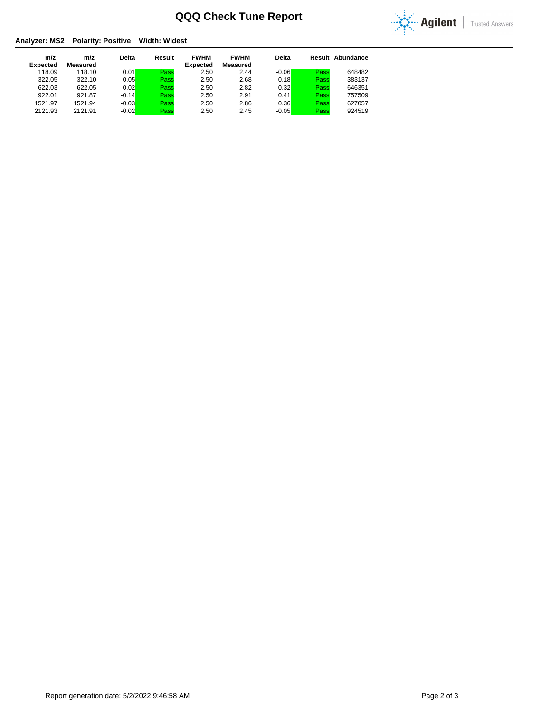

### **Analyzer: MS2 Polarity: Positive Width: Widest**

| m/z<br><b>Expected</b> | m/z<br>Measured | <b>Delta</b> | Result | <b>FWHM</b><br><b>Expected</b> | <b>FWHM</b><br>Measured | <b>Delta</b> |      | Result Abundance |
|------------------------|-----------------|--------------|--------|--------------------------------|-------------------------|--------------|------|------------------|
| 118.09                 | 118.10          | 0.01         | Pass   | 2.50                           | 2.44                    | $-0.06$      | Pass | 648482           |
| 322.05                 | 322.10          | 0.05         | Pass   | 2.50                           | 2.68                    | 0.18         | Pass | 383137           |
| 622.03                 | 622.05          | 0.02         | Pass   | 2.50                           | 2.82                    | 0.32         | Pass | 646351           |
| 922.01                 | 921.87          | $-0.14$      | Pass   | 2.50                           | 2.91                    | 0.41         | Pass | 757509           |
| 1521.97                | 1521.94         | $-0.03$      | Pass   | 2.50                           | 2.86                    | 0.36         | Pass | 627057           |
| 2121.93                | 2121.91         | $-0.02$      | Pass   | 2.50                           | 2.45                    | $-0.05$      | Pass | 924519           |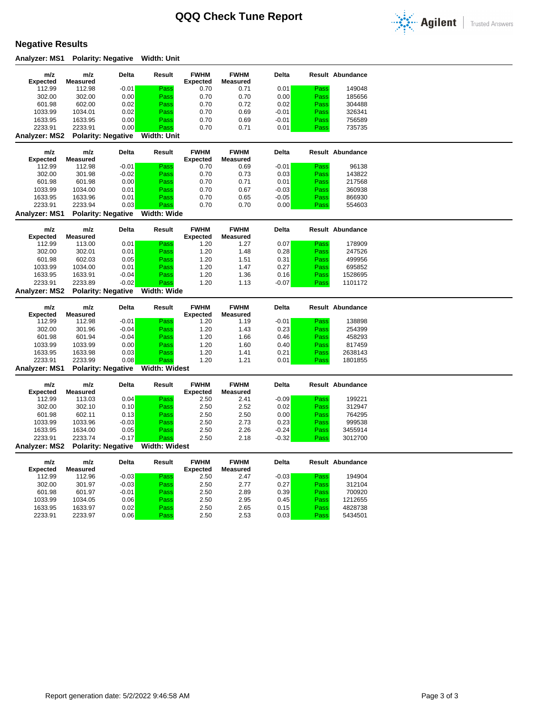

# **Negative Results**

**Analyzer: MS1 Polarity: Negative Width: Unit**

| m/z                    | m/z                | Delta                     | Result               | <b>FWHM</b>                    | <b>FWHM</b>     | Delta        |              | Result Abundance        |  |
|------------------------|--------------------|---------------------------|----------------------|--------------------------------|-----------------|--------------|--------------|-------------------------|--|
| <b>Expected</b>        | <b>Measured</b>    |                           |                      | <b>Expected</b>                | <b>Measured</b> |              |              |                         |  |
| 112.99                 | 112.98             | $-0.01$                   | Pass                 | 0.70                           | 0.71            | 0.01         | Pass         | 149048                  |  |
| 302.00                 | 302.00             | 0.00                      | Pass                 | 0.70                           | 0.70            | 0.00         | Pass         | 185656                  |  |
| 601.98                 | 602.00             | 0.02                      | Pass                 | 0.70                           | 0.72            | 0.02         | Pass         | 304488                  |  |
| 1033.99                | 1034.01            | 0.02                      | Pass                 | 0.70                           | 0.69            | $-0.01$      | Pass         | 326341                  |  |
| 1633.95                | 1633.95            | 0.00                      | Pass                 | 0.70                           | 0.69            | $-0.01$      | Pass         | 756589                  |  |
| 2233.91                | 2233.91            | 0.00                      | Pass                 | 0.70                           | 0.71            | 0.01         | Pass         | 735735                  |  |
| Analyzer: MS2          |                    | <b>Polarity: Negative</b> | <b>Width: Unit</b>   |                                |                 |              |              |                         |  |
|                        |                    |                           |                      |                                |                 |              |              |                         |  |
| m/z                    | m/z                | Delta                     | Result               | <b>FWHM</b>                    | <b>FWHM</b>     | <b>Delta</b> |              | <b>Result Abundance</b> |  |
| <b>Expected</b>        | <b>Measured</b>    |                           |                      | <b>Expected</b>                | <b>Measured</b> |              |              |                         |  |
| 112.99                 | 112.98             | $-0.01$                   | Pass                 | 0.70                           | 0.69            | $-0.01$      | Pass         | 96138                   |  |
| 302.00                 | 301.98             | $-0.02$                   | Pass                 | 0.70                           | 0.73            | 0.03         | Pass         | 143822                  |  |
| 601.98                 | 601.98             | 0.00                      | Pass                 | 0.70                           | 0.71            | 0.01         | Pass         | 217568                  |  |
| 1033.99                | 1034.00            | 0.01                      | Pass                 | 0.70                           | 0.67            | $-0.03$      | Pass         | 360938                  |  |
| 1633.95                | 1633.96            | 0.01                      | Pass                 | 0.70                           | 0.65            | $-0.05$      | Pass         | 866930                  |  |
| 2233.91                | 2233.94            | 0.03                      | Pass                 | 0.70                           | 0.70            | 0.00         | Pass         | 554603                  |  |
| <b>Analyzer: MS1</b>   |                    | <b>Polarity: Negative</b> | Width: Wide          |                                |                 |              |              |                         |  |
|                        |                    |                           |                      |                                | <b>FWHM</b>     | <b>Delta</b> |              |                         |  |
| m/z<br><b>Expected</b> | m/z<br>Measured    | Delta                     | Result               | <b>FWHM</b><br><b>Expected</b> | <b>Measured</b> |              |              | <b>Result Abundance</b> |  |
| 112.99                 | 113.00             | 0.01                      | Pass                 | 1.20                           | 1.27            | 0.07         | Pass         | 178909                  |  |
| 302.00                 | 302.01             | 0.01                      | Pass                 | 1.20                           | 1.48            | 0.28         | Pass         | 247526                  |  |
|                        |                    |                           |                      |                                |                 |              |              |                         |  |
| 601.98                 | 602.03             | 0.05                      | Pass                 | 1.20                           | 1.51            | 0.31         | Pass         | 499956                  |  |
| 1033.99                | 1034.00            | 0.01                      | Pass                 | 1.20                           | 1.47            | 0.27         | Pass         | 695852                  |  |
| 1633.95                | 1633.91            | $-0.04$                   | Pass                 | 1.20                           | 1.36            | 0.16         | Pass         | 1528695                 |  |
| 2233.91                | 2233.89            | $-0.02$                   | Pass                 | 1.20                           | 1.13            | $-0.07$      | Pass         | 1101172                 |  |
| <b>Analyzer: MS2</b>   |                    | <b>Polarity: Negative</b> | Width: Wide          |                                |                 |              |              |                         |  |
|                        |                    |                           |                      |                                |                 |              |              |                         |  |
| m/z                    | m/z                | Delta                     | Result               | <b>FWHM</b>                    | <b>FWHM</b>     | <b>Delta</b> |              | Result Abundance        |  |
| <b>Expected</b>        | <b>Measured</b>    |                           |                      | <b>Expected</b>                | <b>Measured</b> |              |              |                         |  |
| 112.99                 | 112.98             | $-0.01$                   | Pass                 | 1.20                           | 1.19            | $-0.01$      | Pass         | 138898                  |  |
| 302.00                 | 301.96             | $-0.04$                   | Pass                 | 1.20                           | 1.43            | 0.23         | Pass         | 254399                  |  |
| 601.98                 | 601.94             | $-0.04$                   | Pass                 | 1.20                           | 1.66            | 0.46         | Pass         | 458293                  |  |
| 1033.99                | 1033.99            | 0.00                      | Pass                 | 1.20                           | 1.60            | 0.40         | Pass         | 817459                  |  |
| 1633.95                | 1633.98            | 0.03                      | Pass                 | 1.20                           | 1.41            | 0.21         | Pass         | 2638143                 |  |
| 2233.91                | 2233.99            | 0.08                      | Pass                 | 1.20                           | 1.21            | 0.01         | Pass         | 1801855                 |  |
| <b>Analyzer: MS1</b>   |                    | <b>Polarity: Negative</b> | <b>Width: Widest</b> |                                |                 |              |              |                         |  |
|                        |                    |                           |                      |                                |                 |              |              |                         |  |
| m/z                    | m/z                | Delta                     | Result               | <b>FWHM</b>                    | <b>FWHM</b>     | <b>Delta</b> |              | Result Abundance        |  |
| <b>Expected</b>        | Measured           |                           |                      | <b>Expected</b>                | <b>Measured</b> |              |              |                         |  |
| 112.99                 | 113.03             | 0.04                      | Pass                 | 2.50                           | 2.41            | $-0.09$      | Pass         | 199221                  |  |
| 302.00                 | 302.10             | 0.10                      | Pass                 | 2.50                           | 2.52            | 0.02         | Pass         | 312947                  |  |
| 601.98                 | 602.11             | 0.13                      | Pass                 | 2.50                           | 2.50            | 0.00         | Pass         | 764295                  |  |
| 1033.99                | 1033.96            | $-0.03$                   | Pass                 | 2.50                           | 2.73            | 0.23         | Pass         | 999538                  |  |
| 1633.95                | 1634.00            | 0.05                      | Pass                 | 2.50                           | 2.26            | $-0.24$      | Pass         | 3455914                 |  |
| 2233.91                | 2233.74            | $-0.17$                   | Pass                 | 2.50                           | 2.18            | $-0.32$      | Pass         | 3012700                 |  |
| Analyzer: MS2          |                    | <b>Polarity: Negative</b> | Width: Widest        |                                |                 |              |              |                         |  |
|                        |                    |                           |                      |                                |                 |              |              |                         |  |
| m/z                    | m/z                | Delta                     | Result               | <b>FWHM</b>                    | <b>FWHM</b>     | <b>Delta</b> |              | <b>Result Abundance</b> |  |
| <b>Expected</b>        | <b>Measured</b>    |                           |                      | <b>Expected</b>                | <b>Measured</b> |              |              |                         |  |
| 112.99                 | 112.96             | $-0.03$                   | Pass                 | 2.50                           | 2.47            | $-0.03$      | Pass         | 194904                  |  |
| 302.00                 | 301.97             | $-0.03$                   | Pass                 | 2.50                           | 2.77            | 0.27         | Pass         | 312104                  |  |
| 601.98                 | 601.97             | $-0.01$                   | Pass                 | 2.50                           | 2.89            | 0.39         | Pass         | 700920                  |  |
| 1033.99                | 1034.05            | 0.06                      | Pass                 | 2.50                           | 2.95            | 0.45         | Pass         | 1212655                 |  |
| 1633.95<br>2233.91     | 1633.97<br>2233.97 | 0.02<br>0.06              | Pass<br>Pass         | 2.50<br>2.50                   | 2.65<br>2.53    | 0.15<br>0.03 | Pass<br>Pass | 4828738<br>5434501      |  |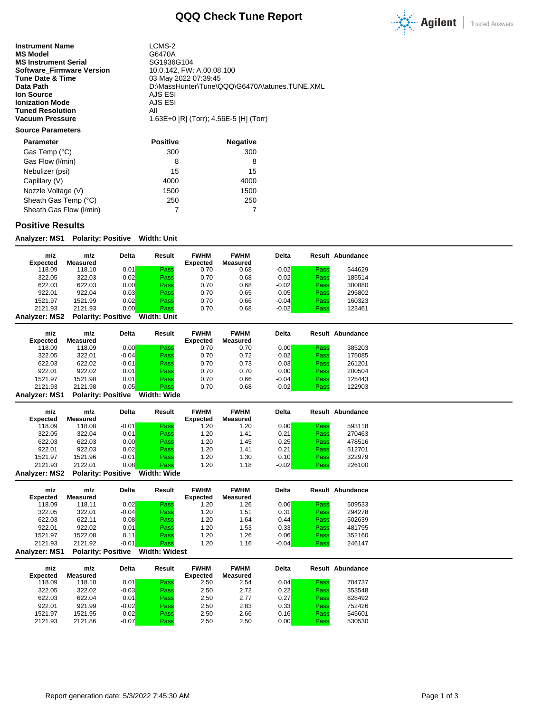

**Instrument Name** LCMS-2<br> **MS Model** G6470A **MS Model** G6470A<br> **MS Instrument Serial** GG1936G104 **MS Instrument Serial Serial SG1936G104**<br>**Software\_Firmware Version** 10.0.142, FW: A.00.08.100 **Software\_Firmware Version<br>Tune Date & Time Tune Date & Time** 03 May 2022 07:39:45<br> **Data Path** 03 May 2022 07:39:45 **Ion Source** AJS ESI<br> **Ionization Mode** AJS ESI **Ionization Mode** AJS<br> **Tuned Resolution** All **Tuned Resolution<br>Vacuum Pressure** 

D:\MassHunter\Tune\QQQ\G6470A\atunes.TUNE.XML<br>AJS ESI **Vacuum Pressure** 1.63E+0 [R] (Torr); 4.56E-5 [H] (Torr)

### **Source Parameters**

| <b>Parameter</b>        | <b>Positive</b> | <b>Negative</b> |
|-------------------------|-----------------|-----------------|
| Gas Temp (°C)           | 300             | 300             |
| Gas Flow (I/min)        | 8               | 8               |
| Nebulizer (psi)         | 15              | 15              |
| Capillary (V)           | 4000            | 4000            |
| Nozzle Voltage (V)      | 1500            | 1500            |
| Sheath Gas Temp (°C)    | 250             | 250             |
| Sheath Gas Flow (I/min) |                 |                 |

### **Positive Results**

**Analyzer: MS1 Polarity: Positive Width: Unit**

| m/z<br><b>Expected</b> | m/z<br>Measured           | <b>Delta</b> | Result      | <b>FWHM</b><br><b>Expected</b> | <b>FWHM</b><br>Measured | <b>Delta</b> |      | <b>Result Abundance</b> |
|------------------------|---------------------------|--------------|-------------|--------------------------------|-------------------------|--------------|------|-------------------------|
| 118.09                 | 118.10                    | 0.01         | Pass        | 0.70                           | 0.68                    | $-0.02$      | Pass | 544629                  |
| 322.05                 | 322.03                    | $-0.02$      | Pass        | 0.70                           | 0.68                    | $-0.02$      | Pass | 185514                  |
| 622.03                 | 622.03                    | 0.00         | Pass        | 0.70                           | 0.68                    | $-0.02$      | Pass | 300880                  |
| 922.01                 | 922.04                    | 0.03         | Pass        | 0.70                           | 0.65                    | $-0.05$      | Pass | 295802                  |
| 1521.97                | 1521.99                   | 0.02         | Pass        | 0.70                           | 0.66                    | $-0.04$      | Pass | 160323                  |
| 2121.93                | 2121.93                   | 0.00         | Pass        | 0.70                           | 0.68                    | $-0.02$      | Pass | 123461                  |
| <b>Analyzer: MS2</b>   | <b>Polarity: Positive</b> |              | Width: Unit |                                |                         |              |      |                         |

| m/z             | m/z      | <b>Delta</b> | Result | <b>FWHM</b>     | <b>FWHM</b> | <b>Delta</b> |      | Result Abundance |
|-----------------|----------|--------------|--------|-----------------|-------------|--------------|------|------------------|
| <b>Expected</b> | Measured |              |        | <b>Expected</b> | Measured    |              |      |                  |
| 118.09          | 118.09   | 0.00         | Pass   | 0.70            | 0.70        | 0.00         | Pass | 385203           |
| 322.05          | 322.01   | $-0.04$      | Pass   | 0.70            | 0.72        | 0.02         | Pass | 175085           |
| 622.03          | 622.02   | $-0.01$      | Pass   | 0.70            | 0.73        | 0.03         | Pass | 261201           |
| 922.01          | 922.02   | 0.01         | Pass   | 0.70            | 0.70        | 0.00         | Pass | 200504           |
| 1521.97         | 1521.98  | 0.01         | Pass   | 0.70            | 0.66        | $-0.04$      | Pass | 125443           |
| 2121.93         | 2121.98  | 0.05         | Pass   | 0.70            | 0.68        | $-0.02$      | Pass | 122903           |

**Analyzer: MS1 Polarity: Positive Width: Wide**

| m/z                  | m/z                       | Delta   | Result      | <b>FWHM</b>     | <b>FWHM</b>     | <b>Delta</b> |      | Result Abundance |
|----------------------|---------------------------|---------|-------------|-----------------|-----------------|--------------|------|------------------|
| <b>Expected</b>      | Measured                  |         |             | <b>Expected</b> | <b>Measured</b> |              |      |                  |
| 118.09               | 118.08                    | $-0.01$ | Pass        | 1.20            | 1.20            | 0.00         | Pass | 593118           |
| 322.05               | 322.04                    | $-0.01$ | Pass        | 1.20            | 1.41            | 0.21         | Pass | 270463           |
| 622.03               | 622.03                    | 0.00    | Pass        | 1.20            | 1.45            | 0.25         | Pass | 478516           |
| 922.01               | 922.03                    | 0.02    | Pass        | 1.20            | 1.41            | 0.21         | Pass | 512701           |
| 1521.97              | 1521.96                   | $-0.01$ | Pass        | 1.20            | 1.30            | 0.10         | Pass | 322979           |
| 2121.93              | 2122.01                   | 0.08    | Pass        | 1.20            | 1.18            | $-0.02$      | Pass | 226100           |
| <b>Analyzer: MS2</b> | <b>Polarity: Positive</b> |         | Width: Wide |                 |                 |              |      |                  |

**m/z Expected m/z Measured Delta Result FWHM Expected FWHM Measured Delta Result Abundance** 118.09 118.11 0.02<mark> Pass</mark> 1.20 1.26 0.06<mark> Pass</mark> 509533 322.05 322.01 -0.04<mark> Pass</mark> 1.20 1.51 0.31<mark> Pass</mark> 294278 622.03 622.11 0.08 Pass 1.20 1.64 0.44 Pass 502639 922.01 922.02 0.01 Pass 1.20 1.53 0.33 Pass 481795 1521.97 1522.08 0.11 Pass 1.20 1.26 0.06 Pass 352160

#### 2121.93 2121.92 -0.01<mark> Pass</mark> 1.20 1.16 -0.04<mark> Pass</mark> 246147 **Analyzer: MS1 Polarity: Positive Width: Widest**

| m/z<br><b>Expected</b> | m/z<br>Measured | <b>Delta</b> | Result | <b>FWHM</b><br><b>Expected</b> | <b>FWHM</b><br>Measured | <b>Delta</b> |      | Result Abundance |
|------------------------|-----------------|--------------|--------|--------------------------------|-------------------------|--------------|------|------------------|
| 118.09                 | 118.10          | 0.01         | Pass   | 2.50                           | 2.54                    | 0.04         | Pass | 704737           |
| 322.05                 | 322.02          | $-0.03$      | Pass   | 2.50                           | 2.72                    | 0.22         | Pass | 353548           |
| 622.03                 | 622.04          | 0.01         | Pass   | 2.50                           | 2.77                    | 0.27         | Pass | 628492           |
| 922.01                 | 921.99          | $-0.02$      | Pass   | 2.50                           | 2.83                    | 0.33         | Pass | 752426           |
| 1521.97                | 1521.95         | $-0.02$      | Pass   | 2.50                           | 2.66                    | 0.16         | Pass | 545601           |
| 2121.93                | 2121.86         | $-0.07$      | Pass   | 2.50                           | 2.50                    | 0.00         | Pass | 530530           |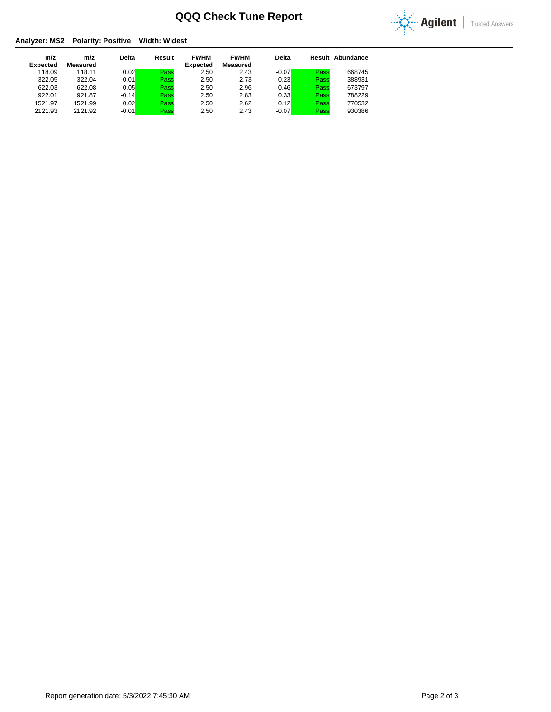

### **Analyzer: MS2 Polarity: Positive Width: Widest**

| m/z             | m/z      | <b>Delta</b> | Result | <b>FWHM</b>     | <b>FWHM</b> | <b>Delta</b> |      | <b>Result Abundance</b> |
|-----------------|----------|--------------|--------|-----------------|-------------|--------------|------|-------------------------|
| <b>Expected</b> | Measured |              |        | <b>Expected</b> | Measured    |              |      |                         |
| 118.09          | 118.11   | 0.02         | Pass   | 2.50            | 2.43        | $-0.07$      | Pass | 668745                  |
| 322.05          | 322.04   | $-0.01$      | Pass   | 2.50            | 2.73        | 0.23         | Pass | 388931                  |
| 622.03          | 622.08   | 0.05         | Pass   | 2.50            | 2.96        | 0.46         | Pass | 673797                  |
| 922.01          | 921.87   | $-0.14$      | Pass   | 2.50            | 2.83        | 0.33         | Pass | 788229                  |
| 1521.97         | 1521.99  | 0.02         | Pass   | 2.50            | 2.62        | 0.12         | Pass | 770532                  |
| 2121.93         | 2121.92  | $-0.01$      | Pass   | 2.50            | 2.43        | $-0.07$      | Pass | 930386                  |
|                 |          |              |        |                 |             |              |      |                         |